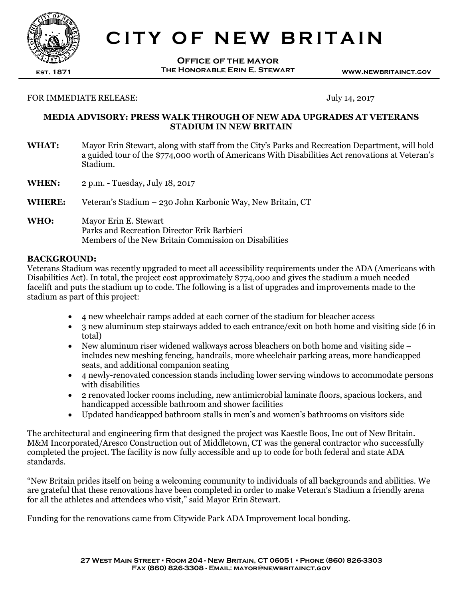

## **CITY OF NEW BRITAIN**

**Office of the mayor The Honorable Erin E. Stewart**

**www.newbritainct.gov**

## FOR IMMEDIATE RELEASE: July 14, 2017

## **MEDIA ADVISORY: PRESS WALK THROUGH OF NEW ADA UPGRADES AT VETERANS STADIUM IN NEW BRITAIN**

**WHAT:** Mayor Erin Stewart, along with staff from the City's Parks and Recreation Department, will hold a guided tour of the \$774,000 worth of Americans With Disabilities Act renovations at Veteran's Stadium.

**WHEN:** 2 p.m. - Tuesday, July 18, 2017

**WHERE:** Veteran's Stadium – 230 John Karbonic Way, New Britain, CT

**WHO:** Mayor Erin E. Stewart Parks and Recreation Director Erik Barbieri Members of the New Britain Commission on Disabilities

## **BACKGROUND:**

Veterans Stadium was recently upgraded to meet all accessibility requirements under the ADA (Americans with Disabilities Act). In total, the project cost approximately \$774,000 and gives the stadium a much needed facelift and puts the stadium up to code. The following is a list of upgrades and improvements made to the stadium as part of this project:

- 4 new wheelchair ramps added at each corner of the stadium for bleacher access
- 3 new aluminum step stairways added to each entrance/exit on both home and visiting side (6 in total)
- New aluminum riser widened walkways across bleachers on both home and visiting side includes new meshing fencing, handrails, more wheelchair parking areas, more handicapped seats, and additional companion seating
- 4 newly-renovated concession stands including lower serving windows to accommodate persons with disabilities
- 2 renovated locker rooms including, new antimicrobial laminate floors, spacious lockers, and handicapped accessible bathroom and shower facilities
- Updated handicapped bathroom stalls in men's and women's bathrooms on visitors side

The architectural and engineering firm that designed the project was Kaestle Boos, Inc out of New Britain. M&M Incorporated/Aresco Construction out of Middletown, CT was the general contractor who successfully completed the project. The facility is now fully accessible and up to code for both federal and state ADA standards.

"New Britain prides itself on being a welcoming community to individuals of all backgrounds and abilities. We are grateful that these renovations have been completed in order to make Veteran's Stadium a friendly arena for all the athletes and attendees who visit," said Mayor Erin Stewart.

Funding for the renovations came from Citywide Park ADA Improvement local bonding.